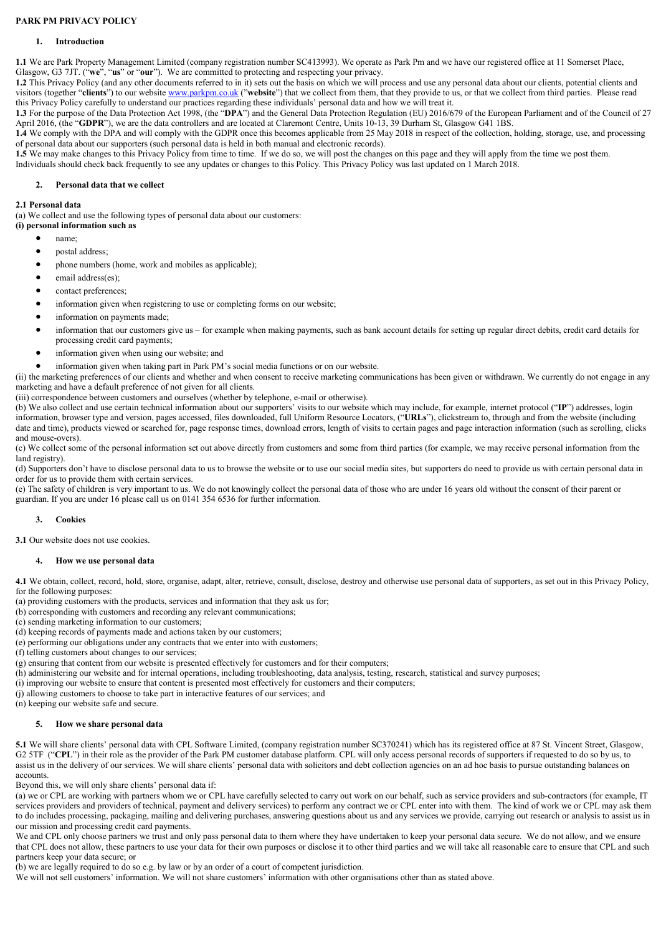# PARK PM PRIVACY POLICY

# 1. Introduction

1.1 We are Park Property Management Limited (company registration number SC413993). We operate as Park Pm and we have our registered office at 11 Somerset Place, Glasgow, G3 7JT. ("we", "us" or "our"). We are committed to protecting and respecting your privacy.

1.2 This Privacy Policy (and any other documents referred to in it) sets out the basis on which we will process and use any personal data about our clients, potential clients and visitors (together "clients") to our website www.parkpm.co.uk ("website") that we collect from them, that they provide to us, or that we collect from third parties. Please read this Privacy Policy carefully to understand our practices regarding these individuals' personal data and how we will treat it.

1.3 For the purpose of the Data Protection Act 1998, (the "DPA") and the General Data Protection Regulation (EU) 2016/679 of the European Parliament and of the Council of 27 April 2016, (the "GDPR"), we are the data controllers and are located at Claremont Centre, Units 10-13, 39 Durham St, Glasgow G41 1BS.

1.4 We comply with the DPA and will comply with the GDPR once this becomes applicable from 25 May 2018 in respect of the collection, holding, storage, use, and processing of personal data about our supporters (such personal data is held in both manual and electronic records).

1.5 We may make changes to this Privacy Policy from time to time. If we do so, we will post the changes on this page and they will apply from the time we post them. Individuals should check back frequently to see any updates or changes to this Policy. This Privacy Policy was last updated on 1 March 2018.

## 2. Personal data that we collect

### 2.1 Personal data

(a) We collect and use the following types of personal data about our customers:

(i) personal information such as

- name;
- postal address;
- phone numbers (home, work and mobiles as applicable);
- email address(es);
- contact preferences;
- information given when registering to use or completing forms on our website;
- information on payments made;
- information that our customers give us for example when making payments, such as bank account details for setting up regular direct debits, credit card details for processing credit card payments;
- information given when using our website; and
- information given when taking part in Park PM's social media functions or on our website.

(ii) the marketing preferences of our clients and whether and when consent to receive marketing communications has been given or withdrawn. We currently do not engage in any marketing and have a default preference of not given for all clients.

(iii) correspondence between customers and ourselves (whether by telephone, e-mail or otherwise).

(b) We also collect and use certain technical information about our supporters' visits to our website which may include, for example, internet protocol ("IP") addresses, login information, browser type and version, pages accessed, files downloaded, full Uniform Resource Locators, ("URLs"), clickstream to, through and from the website (including date and time), products viewed or searched for, page response times, download errors, length of visits to certain pages and page interaction information (such as scrolling, clicks and mouse-overs).

(c) We collect some of the personal information set out above directly from customers and some from third parties (for example, we may receive personal information from the land registry).

(d) Supporters don't have to disclose personal data to us to browse the website or to use our social media sites, but supporters do need to provide us with certain personal data in order for us to provide them with certain services.

(e) The safety of children is very important to us. We do not knowingly collect the personal data of those who are under 16 years old without the consent of their parent or guardian. If you are under 16 please call us on 0141 354 6536 for further information.

## 3. Cookies

3.1 Our website does not use cookies.

### How we use personal data

4.1 We obtain, collect, record, hold, store, organise, adapt, alter, retrieve, consult, disclose, destroy and otherwise use personal data of supporters, as set out in this Privacy Policy, for the following purposes:

- (a) providing customers with the products, services and information that they ask us for;
- (b) corresponding with customers and recording any relevant communications;
- (c) sending marketing information to our customers;
- (d) keeping records of payments made and actions taken by our customers;
- (e) performing our obligations under any contracts that we enter into with customers;
- (f) telling customers about changes to our services;
- (g) ensuring that content from our website is presented effectively for customers and for their computers;
- (h) administering our website and for internal operations, including troubleshooting, data analysis, testing, research, statistical and survey purposes;
- (i) improving our website to ensure that content is presented most effectively for customers and their computers;
- (j) allowing customers to choose to take part in interactive features of our services; and
- (n) keeping our website safe and secure.

# 5. How we share personal data

5.1 We will share clients' personal data with CPL Software Limited, (company registration number SC370241) which has its registered office at 87 St. Vincent Street, Glasgow, G2 5TF ("CPL") in their role as the provider of the Park PM customer database platform. CPL will only access personal records of supporters if requested to do so by us, to assist us in the delivery of our services. We will share clients' personal data with solicitors and debt collection agencies on an ad hoc basis to pursue outstanding balances on accounts.

Beyond this, we will only share clients' personal data if:

(a) we or CPL are working with partners whom we or CPL have carefully selected to carry out work on our behalf, such as service providers and sub-contractors (for example, IT services providers and providers of technical, payment and delivery services) to perform any contract we or CPL enter into with them. The kind of work we or CPL may ask them to do includes processing, packaging, mailing and delivering purchases, answering questions about us and any services we provide, carrying out research or analysis to assist us in our mission and processing credit card payments.

We and CPL only choose partners we trust and only pass personal data to them where they have undertaken to keep your personal data secure. We do not allow, and we ensure that CPL does not allow, these partners to use your data for their own purposes or disclose it to other third parties and we will take all reasonable care to ensure that CPL and such partners keep your data secure; or

(b) we are legally required to do so e.g. by law or by an order of a court of competent jurisdiction.

We will not sell customers' information. We will not share customers' information with other organisations other than as stated above.